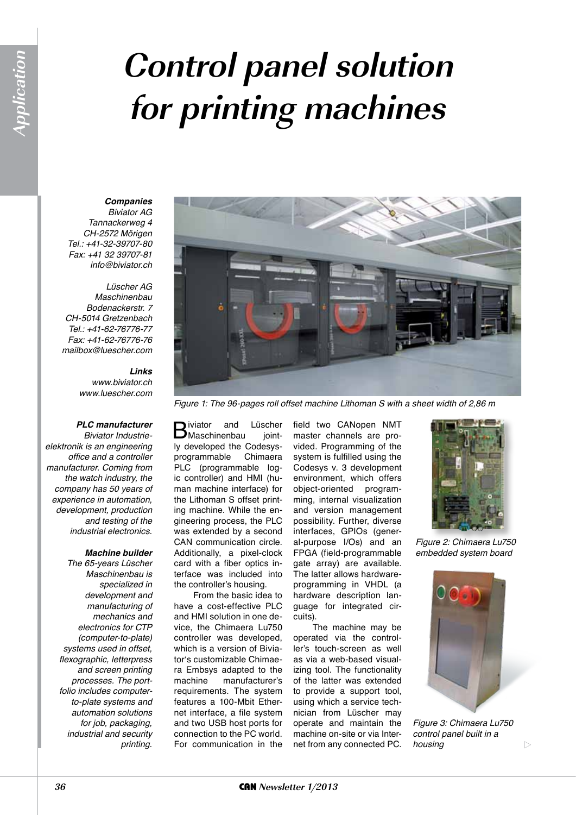# **Control panel solution for printing machines**

# *Companies*

*Biviator AG Tannackerweg 4 CH-2572 Mörigen Tel.: +41-32-39707-80 Fax: +41 32 39707-81 info@biviator.ch*

#### *Lüscher AG Maschinenbau Bodenackerstr. 7 CH-5014 Gretzenbach Tel.: +41-62-76776-77*

*Fax: +41-62-76776-76 mailbox@luescher.com*

#### *Links www.biviator.ch www.luescher.com*

## *PLC manufacturer*

*Biviator Industrieelektronik is an engineering office and a controller manufacturer. Coming from the watch industry, the company has 50 years of experience in automation, development, production and testing of the industrial electronics.*

## *Machine builder*

*The 65-years Lüscher Maschinenbau is specialized in development and manufacturing of mechanics and electronics for CTP (computer-to-plate) systems used in offset, flexographic, letterpress and screen printing processes. The portfolio includes computerto-plate systems and automation solutions for job, packaging, industrial and security printing.*



*Figure 1: The 96-pages roll offset machine Lithoman S with a sheet width of 2,86 m*

**B**iviator and Lüscher<br>
Maschinenbau jointly developed the Codesysprogrammable Chimaera PLC (programmable logic controller) and HMI (human machine interface) for the Lithoman S offset printing machine. While the engineering process, the PLC was extended by a second CAN communication circle. Additionally, a pixel-clock card with a fiber optics interface was included into the controller's housing.

From the basic idea to have a cost-effective PLC and HMI solution in one device, the Chimaera Lu750 controller was developed, which is a version of Biviator's customizable Chimaera Embsys adapted to the machine manufacturer's requirements. The system features a 100-Mbit Ethernet interface, a file system and two USB host ports for connection to the PC world. For communication in the

field two CANopen NMT master channels are provided. Programming of the system is fulfilled using the Codesys v. 3 development environment, which offers object-oriented programming, internal visualization and version management possibility. Further, diverse interfaces, GPIOs (general-purpose I/Os) and an FPGA (field-programmable gate array) are available. The latter allows hardwareprogramming in VHDL (a hardware description language for integrated circuits).

The machine may be operated via the controller's touch-screen as well as via a web-based visualizing tool. The functionality of the latter was extended to provide a support tool, using which a service technician from Lüscher may operate and maintain the machine on-site or via Internet from any connected PC.



*Figure 2: Chimaera Lu750 embedded system board*



*Figure 3: Chimaera Lu750 control panel built in a housing*

 $\triangleright$